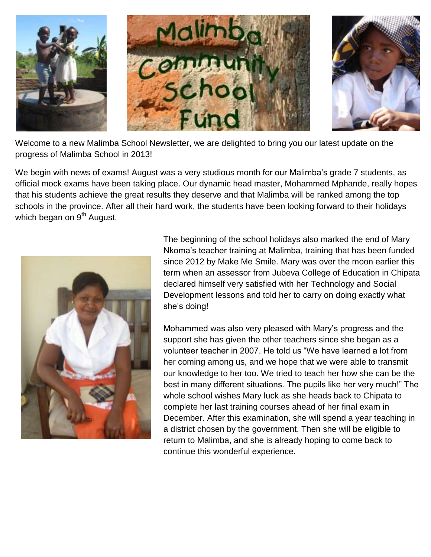

Welcome to a new Malimba School Newsletter, we are delighted to bring you our latest update on the progress of Malimba School in 2013!

We begin with news of exams! August was a very studious month for our Malimba's grade 7 students, as official mock exams have been taking place. Our dynamic head master, Mohammed Mphande, really hopes that his students achieve the great results they deserve and that Malimba will be ranked among the top schools in the province. After all their hard work, the students have been looking forward to their holidays which began on  $9<sup>th</sup>$  August.



The beginning of the school holidays also marked the end of Mary Nkoma"s teacher training at Malimba, training that has been funded since 2012 by Make Me Smile. Mary was over the moon earlier this term when an assessor from Jubeva College of Education in Chipata declared himself very satisfied with her Technology and Social Development lessons and told her to carry on doing exactly what she"s doing!

Mohammed was also very pleased with Mary"s progress and the support she has given the other teachers since she began as a volunteer teacher in 2007. He told us "We have learned a lot from her coming among us, and we hope that we were able to transmit our knowledge to her too. We tried to teach her how she can be the best in many different situations. The pupils like her very much!" The whole school wishes Mary luck as she heads back to Chipata to complete her last training courses ahead of her final exam in December. After this examination, she will spend a year teaching in a district chosen by the government. Then she will be eligible to return to Malimba, and she is already hoping to come back to continue this wonderful experience.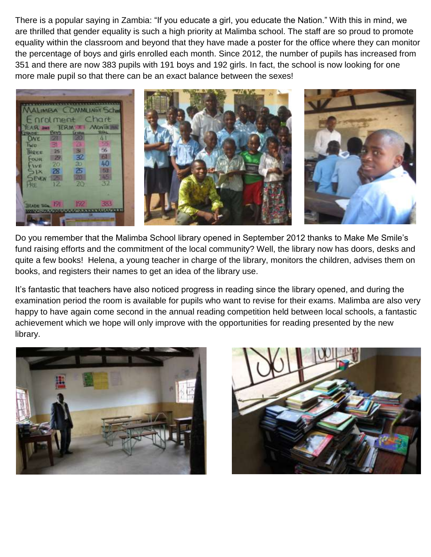There is a popular saying in Zambia: "If you educate a girl, you educate the Nation." With this in mind, we are thrilled that gender equality is such a high priority at Malimba school. The staff are so proud to promote equality within the classroom and beyond that they have made a poster for the office where they can monitor the percentage of boys and girls enrolled each month. Since 2012, the number of pupils has increased from 351 and there are now 383 pupils with 191 boys and 192 girls. In fact, the school is now looking for one more male pupil so that there can be an exact balance between the sexes!



Do you remember that the Malimba School library opened in September 2012 thanks to Make Me Smile"s fund raising efforts and the commitment of the local community? Well, the library now has doors, desks and quite a few books! Helena, a young teacher in charge of the library, monitors the children, advises them on books, and registers their names to get an idea of the library use.

It's fantastic that teachers have also noticed progress in reading since the library opened, and during the examination period the room is available for pupils who want to revise for their exams. Malimba are also very happy to have again come second in the annual reading competition held between local schools, a fantastic achievement which we hope will only improve with the opportunities for reading presented by the new library.



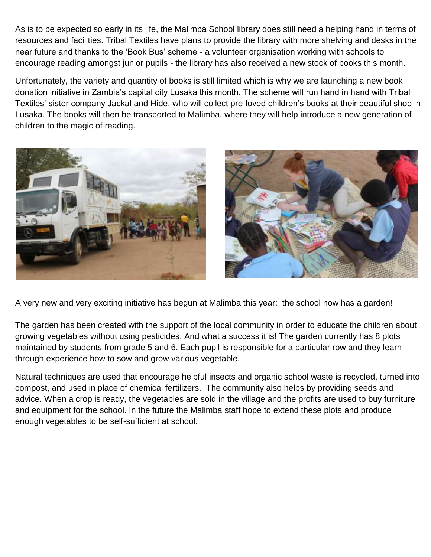As is to be expected so early in its life, the Malimba School library does still need a helping hand in terms of resources and facilities. Tribal Textiles have plans to provide the library with more shelving and desks in the near future and thanks to the "Book Bus" scheme - a volunteer organisation working with schools to encourage reading amongst junior pupils - the library has also received a new stock of books this month.

Unfortunately, the variety and quantity of books is still limited which is why we are launching a new book donation initiative in Zambia"s capital city Lusaka this month. The scheme will run hand in hand with Tribal Textiles' sister company Jackal and Hide, who will collect pre-loved children's books at their beautiful shop in Lusaka. The books will then be transported to Malimba, where they will help introduce a new generation of children to the magic of reading.



A very new and very exciting initiative has begun at Malimba this year: the school now has a garden!

The garden has been created with the support of the local community in order to educate the children about growing vegetables without using pesticides. And what a success it is! The garden currently has 8 plots maintained by students from grade 5 and 6. Each pupil is responsible for a particular row and they learn through experience how to sow and grow various vegetable.

Natural techniques are used that encourage helpful insects and organic school waste is recycled, turned into compost, and used in place of chemical fertilizers. The community also helps by providing seeds and advice. When a crop is ready, the vegetables are sold in the village and the profits are used to buy furniture and equipment for the school. In the future the Malimba staff hope to extend these plots and produce enough vegetables to be self-sufficient at school.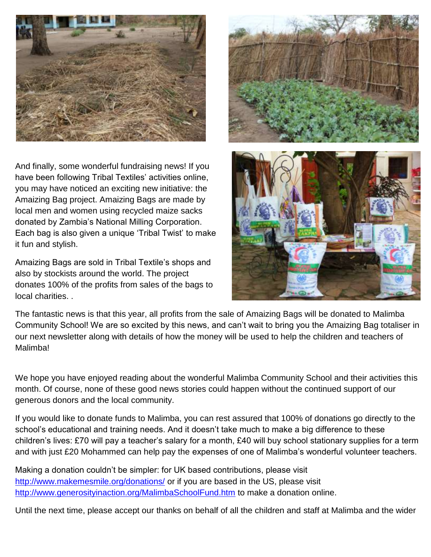

And finally, some wonderful fundraising news! If you have been following Tribal Textiles' activities online, you may have noticed an exciting new initiative: the Amaizing Bag project. Amaizing Bags are made by local men and women using recycled maize sacks donated by Zambia"s National Milling Corporation. Each bag is also given a unique "Tribal Twist" to make it fun and stylish.

Amaizing Bags are sold in Tribal Textile"s shops and also by stockists around the world. The project donates 100% of the profits from sales of the bags to local charities. .



The fantastic news is that this year, all profits from the sale of Amaizing Bags will be donated to Malimba Community School! We are so excited by this news, and can"t wait to bring you the Amaizing Bag totaliser in our next newsletter along with details of how the money will be used to help the children and teachers of Malimba!

We hope you have enjoyed reading about the wonderful Malimba Community School and their activities this month. Of course, none of these good news stories could happen without the continued support of our generous donors and the local community.

If you would like to donate funds to Malimba, you can rest assured that 100% of donations go directly to the school's educational and training needs. And it doesn't take much to make a big difference to these children's lives: £70 will pay a teacher's salary for a month, £40 will buy school stationary supplies for a term and with just £20 Mohammed can help pay the expenses of one of Malimba's wonderful volunteer teachers.

Making a donation couldn"t be simpler: for UK based contributions, please visit <http://www.makemesmile.org/donations/> or if you are based in the US, please visit <http://www.generosityinaction.org/MalimbaSchoolFund.htm> to make a donation online.

Until the next time, please accept our thanks on behalf of all the children and staff at Malimba and the wider